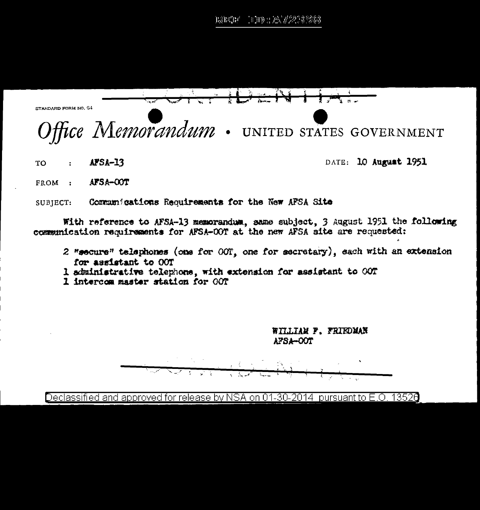

 $AFSA-13$ TO  $\ddot{\cdot}$ 

DATE: 10 August 1951

AFSA-COT FROM :

Communications Requirements for the New AFSA Site SUBJECT:

With reference to AFSA-13 memorandum, same subject, 3 August 1951 the following communication requirements for AFSA-OOT at the new AFSA site are requested:

- 2 "secure" telephones (one for OOT, one for secretary), each with an extension for assistant to OOT
- 1 administrative telephone, with extension for assistant to OOT
- 1 intercom master station for OOT

WILLIAM F. FRIEDMAN AFSA-OOT

Declassified and approved for release by NSA on 01-30-2014 pursuant to E.O. 13520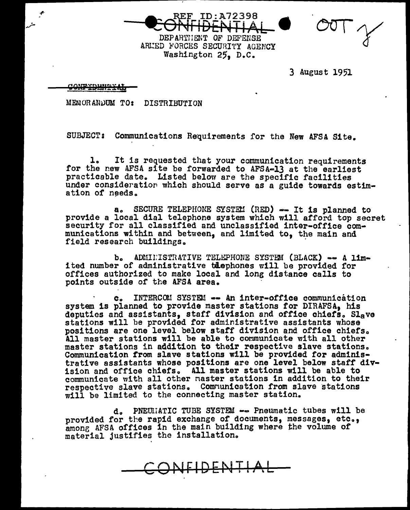ID:A72398

DEPARTHENT OF DEFENSE ARMED FORCES SECURITY AGENCY Washington 25, D.C.

3 August 1951

<u>confronner H</u>

MEMORANDUM TO: DISTRIBUTION

SUBJECT: Communications Requirements for the New AFSA Site.

l. It is requested that your communication requirements for the new AFSA site be forwarded to AFSA-13 at the earliest practicable date. Listed below are the specific facilities under consideration which should serve as a guide towards estimation of needs.

a. SECURE TELEPHONE SYSTEM (RED) -- It is planned to provide a local dial telephone system which will afford top secret security for all classified and unclassified inter-office communications within and between, and limited to, the main and field research buildings.

b. ADMIINISTRATIVE TELEPHONE SYSTEM (BLACK) == A lime ited number of administrative teephones will be provided for offices authorized to make local and long distance calls to points outside of the AFSA area.

INTERCOM SYSTEM -- An inter-office communication  $c_{n}$ system is planned to provide master stations for DIRAFSA, his deputies and assistants, staff division and office chiefs. Slave stations will be provided for administrative assistants whose positions are one level below staff division and office chiefs. All master stations will be able to communicate with all other master stations in addition to their respective slave stations. Communication from slave stations will be provided for administrative assistants whose positions are one level below staff division and office chiefs. All master stations will be able to communicate with all other master stations in addition to their respective slave stations. Communication from slave stations will be limited to the connecting master station.

d. PNEUMATIC TUBE SYSTEM -- Pneumatic tubes will be provided for the rapid exchange of documents, messages, etc., among AFSA offices in the main building where the volume of material justifies the installation.

CONFIDENTIAL